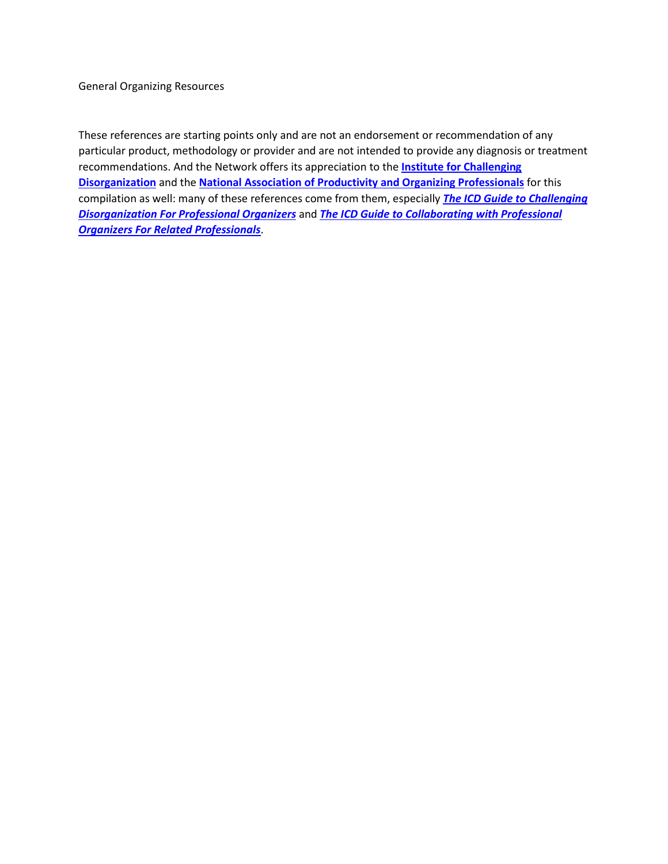General Organizing Resources

These references are starting points only and are not an endorsement or recommendation of any particular product, methodology or provider and are not intended to provide any diagnosis or treatment recommendations. And the Network offers its appreciation to the **[Institute for Challenging](https://www.challengingdisorganization.org/)  [Disorganization](https://www.challengingdisorganization.org/)** and the **[National Association of Productivity and Organizing Professionals](https://www.napo.net/)** for this compilation as well: many of these references come from them, especially *[The ICD Guide to Challenging](https://www.amazon.com/ICD-Guide-Challenging-Disorganization-Professional/dp/1937933016/ref=sr_1_1?crid=229ZEH6XDMOLU&keywords=institute+for+challenging+disorganization&qid=1640289131&s=books&sprefix=institute+for+challenging+disorganization%2Cstripbooks%2C116&sr=1-1)  [Disorganization For Professional Organizers](https://www.amazon.com/ICD-Guide-Challenging-Disorganization-Professional/dp/1937933016/ref=sr_1_1?crid=229ZEH6XDMOLU&keywords=institute+for+challenging+disorganization&qid=1640289131&s=books&sprefix=institute+for+challenging+disorganization%2Cstripbooks%2C116&sr=1-1)* and *[The ICD Guide to Collaborating](https://www.amazon.com/Guide-Collaborating-Professional-Organizers-Professionals/dp/1937933008/ref=sr_1_2?crid=229ZEH6XDMOLU&keywords=institute+for+challenging+disorganization&qid=1640289244&s=books&sprefix=institute+for+challenging+disorganization%2Cstripbooks%2C116&sr=1-2) with Professional [Organizers For Related Professionals](https://www.amazon.com/Guide-Collaborating-Professional-Organizers-Professionals/dp/1937933008/ref=sr_1_2?crid=229ZEH6XDMOLU&keywords=institute+for+challenging+disorganization&qid=1640289244&s=books&sprefix=institute+for+challenging+disorganization%2Cstripbooks%2C116&sr=1-2)*.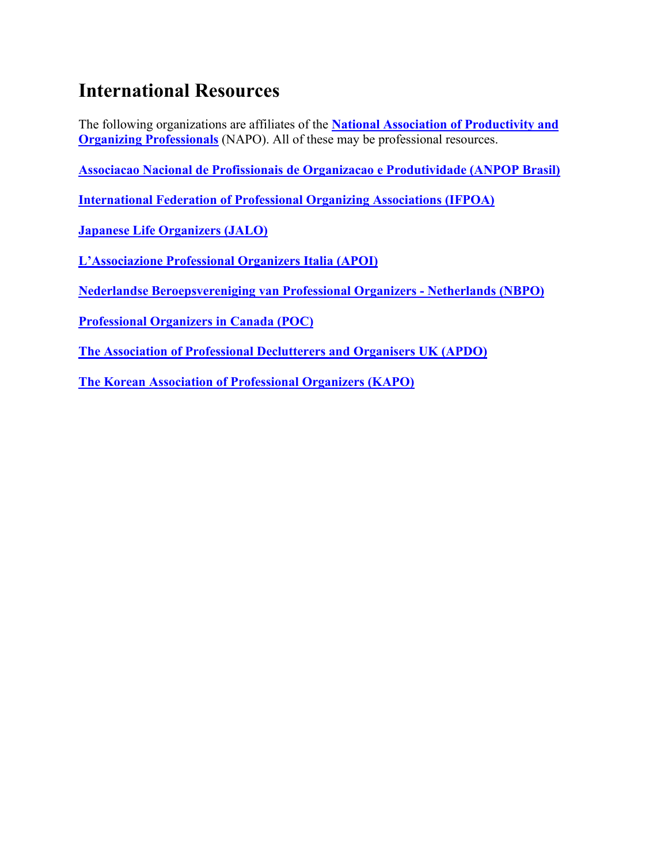## **International Resources**

The following organizations are affiliates of the **[National Association of Productivity and](https://www.napo.net/?)  [Organizing Professionals](https://www.napo.net/?)** (NAPO). All of these may be professional resources.

**[Associacao Nacional de Profissionais de Organizacao e Produtividade \(ANPOP Brasil\)](http://www.anpop.com.br/)**

**[International Federation of Professional Organizing Associations \(IFPOA\)](https://ifpoa.wordpress.com/)**

**[Japanese Life Organizers \(JALO\)](http://jalo.jp/)**

**L'Associazione [Professional Organizers Italia \(APOI\)](https://www.apoi.it/)**

**[Nederlandse Beroepsvereniging van Professional Organizers -](https://www.nbpo.nl/) Netherlands (NBPO)**

**[Professional Organizers in Canada \(POC\)](https://www.organizersincanada.com/)**

**[The Association of Professional Declutterers and Organisers UK \(APDO\)](https://www.apdo.co.uk/)**

**[The Korean Association of Professional Organizers \(KAPO\)](https://ifpoa.wordpress.com/republic-of-korea-kapo/)**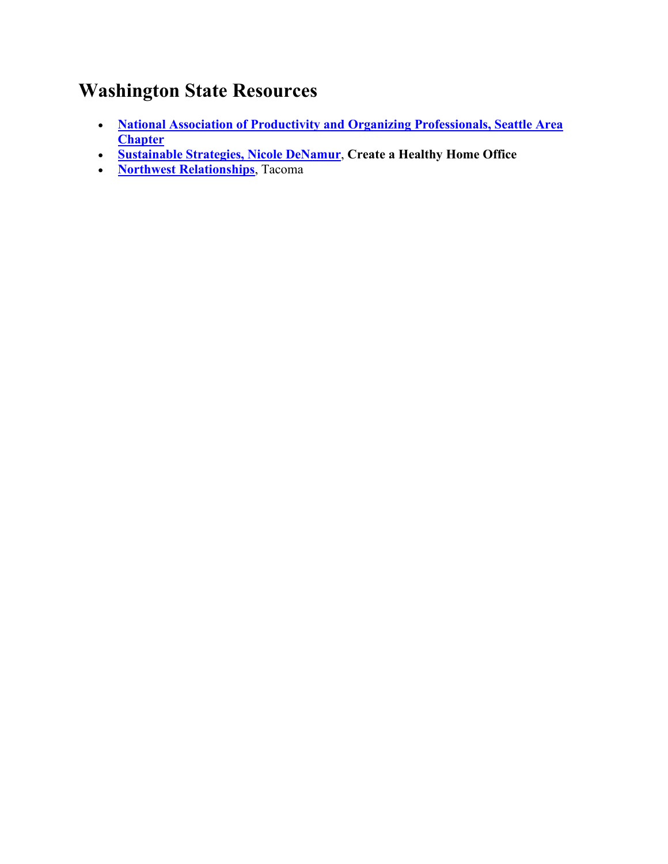## **Washington State Resources**

- **[National Association of Productivity and Organizing Professionals, Seattle Area](http://www.seattlenapo.com/)  [Chapter](http://www.seattlenapo.com/)**
- **[Sustainable Strategies, Nicole DeNamur](https://www.sustainablestrategiespllc.com/)**, **[Create a Healthy Home Office](https://sustainable-strategies.teachable.com/courses)**
- **[Northwest Relationships](https://www.northwestrelationships.com/)**, Tacoma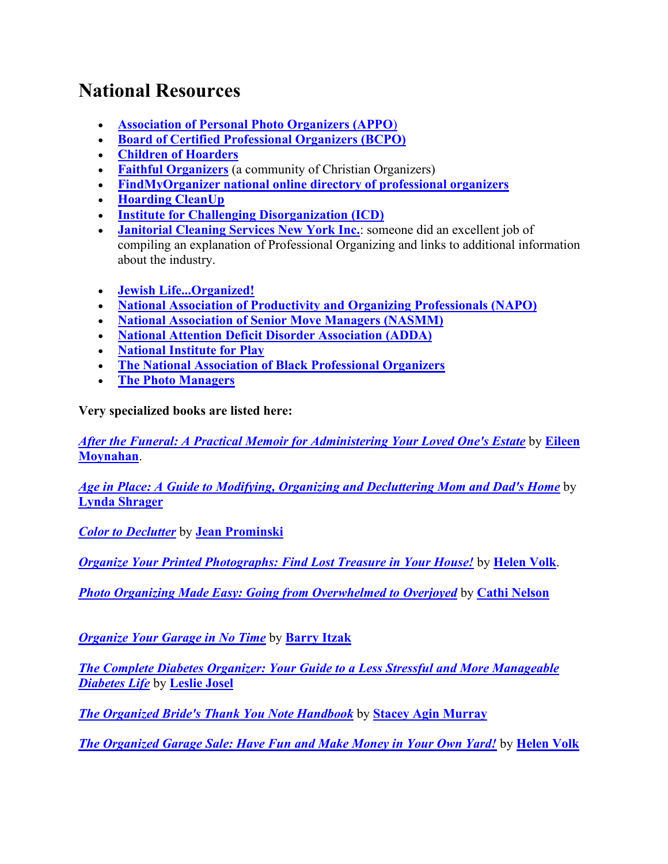## **National Resources**

- **[Association of Personal Photo Organizers \(APPO](https://www.appo.org/)**)
- **[Board of Certified Professional Organizers \(BCPO\)](http://www.certifiedprofessionalorganizers.org/)**
- **Children [of Hoarders](http://www.childrenofhoarders.com/)**
- **[Faithful Organizers](https://faithfulorganizers.com/index.php?option=com_content&view=article&id=1&Itemid=101)** (a community of Christian Organizers)
- **[FindMyOrganizer national online directory of professional organizers](http://www.findmyorganizer.com/)**
- **[Hoarding CleanUp](http://hoardingcleanup.com/home)**
- **[Institute for Challenging Disorganization \(ICD\)](http://www.challengingdisorganization.org/)**
- **[Janitorial Cleaning Services New York Inc.](http://www.commercialofficecleaning.com/professional-organization.html):** someone did an excellent job of compiling an explanation of Professional Organizing and links to additional information about the industry.
- **[Jewish Life...Organized!](http://jewish-life-organized.com/)**
- **[National Association of Productivity and Organizing Professionals \(NAPO\)](http://www.napo.net/)**
- **[National Association of Senior Move Managers \(NASMM\)](http://www.nasmm.org/)**
- **[National Attention Deficit Disorder Association \(ADDA\)](http://www.add.org/)**
- **[National Institute for Play](http://www.nifplay.org/)**
- **[The National Association of Black Professional Organizers](https://nabpo.org/)**
- **[The Photo Managers](https://thephotomanagers.com/)**

**Very specialized books are listed here:**

*After the Funeral: A [Practical Memoir for Administering Your Loved One's Estate](https://www.amazon.com/After-Funeral-Eileen-Moynahan/dp/1946533424/ref=sr_1_1?crid=3KIREFTHDJZW0&keywords=after+the+funeral+by+eileen+moynahan&qid=1583242209&sprefix=after+the+funeral%2Caps%2C1126&sr=8-1)* by **[Eileen](https://www.legacyestateorganizing.com/eileen-moynahan)  [Moynahan](https://www.legacyestateorganizing.com/eileen-moynahan)**.

*[Age in Place: A Guide to Modifying, Organizing and Decluttering Mom and Dad's Home](https://www.amazon.com/Age-Place-Modifying-Organizing-Decluttering-ebook/dp/B07BB3X7MC/ref=sr_1_84?keywords=professional+organizing&qid=1583037026&s=digital-text&sr=1-84)* by **[Lynda Shrager](https://otherwisehealthy.com/)**

*[Color to Declutter](https://seattlesparkle.com/color-to-declutter/)* by **[Jean Prominski](https://seattlesparkle.com/)**

*[Organize Your Printed Photographs: Find Lost Treasure in Your House!](https://www.amazon.com/Organize-Your-Printed-Photographs-Treasure-ebook/dp/B00LGWQ9MY/ref=sr_1_8?qid=1583035307&refinements=p_27%3AHelen+Volk&s=digital-text&sr=1-8&text=Helen+Volk)* by **[Helen Volk](http://www.beyondclutter.com/about/)**.

*[Photo Organizing Made Easy: Going from Overwhelmed to Overjoyed](https://www.amazon.com/Photo-Organizing-Made-Easy-Overwhelmed-ebook/dp/B078HH8VVW/ref=sr_1_79?keywords=organizer&qid=1583036002&s=digital-text&sr=1-79)* by **[Cathi Nelson](https://www.cathinelson.com/)**

*[Organize Your Garage in No Time](https://www.amazon.com/Organize-Your-Garage-No-Time/dp/078973219X)* by **[Barry Itzak](https://www.packingmovingunpacking.com/)**

*[The Complete Diabetes Organizer: Your Guide to a Less Stressful and More Manageable](https://www.amazon.com/Complete-Diabetes-Organizer-Stressful-Manageable/dp/1938170261/ref=sr_1_2?keywords=leslie+josel&qid=1583034692&s=digital-text&sr=1-2-catcorr)  [Diabetes Life](https://www.amazon.com/Complete-Diabetes-Organizer-Stressful-Manageable/dp/1938170261/ref=sr_1_2?keywords=leslie+josel&qid=1583034692&s=digital-text&sr=1-2-catcorr)* by **[Leslie Josel](https://www.orderoochaos.com/)**

*[The Organized Bride's Thank You Note Handbook](https://www.amazon.com/Organized-Brides-Thank-Note-Handbook/dp/098151751X/ref=sr_1_7?s=books&ie=UTF8&qid=1421079636&sr=1-7&keywords=wedding+thank+you+note)* by **[Stacey Agin Murray](https://organizedartistry.com/)**

*[The Organized Garage Sale: Have Fun and Make Money in Your Own Yard!](https://www.amazon.com/Organized-Garage-Sale-Have-Money-ebook/dp/B00LCLR1LM/ref=sr_1_6?qid=1583035145&refinements=p_27%3AHelen+Volk&s=digital-text&sr=1-6&text=Helen+Volk)* by **[Helen Volk](http://www.beyondclutter.com/about/)**